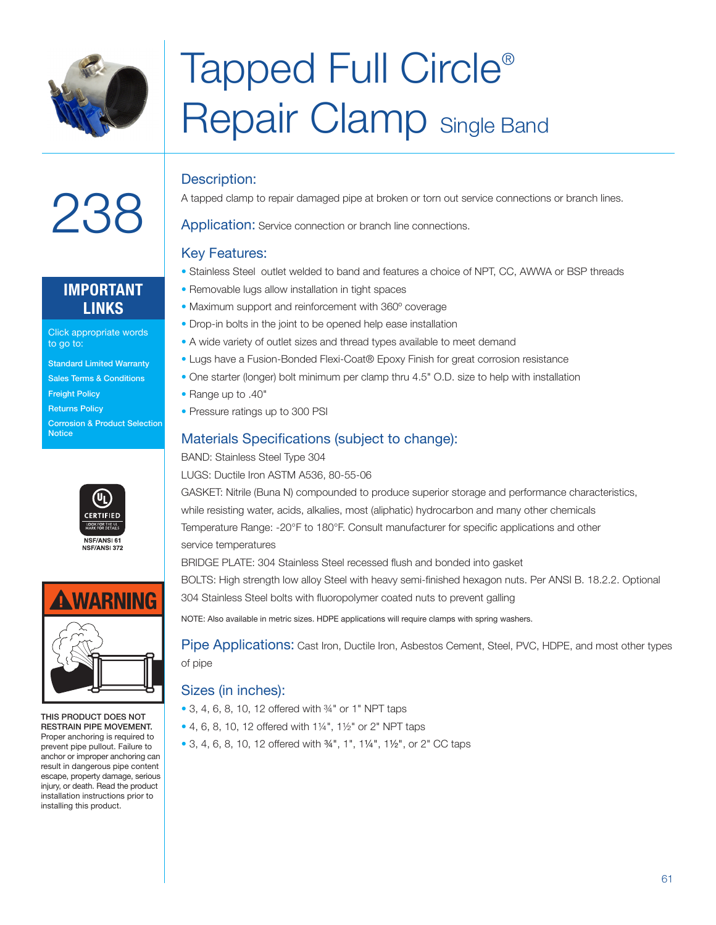

 $238$ 

# Tapped Full Circle® Repair Clamp Single Band

### Description:

A tapped clamp to repair damaged pipe at broken or torn out service connections or branch lines.

Application: Service connection or branch line connections.

#### Key Features:

- Stainless Steel outlet welded to band and features a choice of NPT, CC, AWWA or BSP threads
- Removable lugs allow installation in tight spaces
- Maximum support and reinforcement with 360º coverage
- Drop-in bolts in the joint to be opened help ease installation
- A wide variety of outlet sizes and thread types available to meet demand
- Lugs have a Fusion-Bonded Flexi-Coat® Epoxy Finish for great corrosion resistance
- One starter (longer) bolt minimum per clamp thru 4.5" O.D. size to help with installation
- Range up to .40"
- Pressure ratings up to 300 PSI

### Materials Specifications (subject to change):

BAND: Stainless Steel Type 304

LUGS: Ductile Iron ASTM A536, 80-55-06

GASKET: Nitrile (Buna N) compounded to produce superior storage and performance characteristics, while resisting water, acids, alkalies, most (aliphatic) hydrocarbon and many other chemicals Temperature Range: -20°F to 180°F. Consult manufacturer for specific applications and other service temperatures

BRIDGE PLATE: 304 Stainless Steel recessed flush and bonded into gasket

BOLTS: High strength low alloy Steel with heavy semi-finished hexagon nuts. Per ANSI B. 18.2.2. Optional 304 Stainless Steel bolts with fluoropolymer coated nuts to prevent galling

NOTE: Also available in metric sizes. HDPE applications will require clamps with spring washers.

Pipe Applications: Cast Iron, Ductile Iron, Asbestos Cement, Steel, PVC, HDPE, and most other types of pipe

#### Sizes (in inches):

- 3, 4, 6, 8, 10, 12 offered with <sup>34</sup> or 1" NPT taps
- 4, 6, 8, 10, 12 offered with 1¼", 1½" or 2" NPT taps
- 3, 4, 6, 8, 10, 12 offered with ¾", 1", 1¼", 1½", or 2" CC taps

## **IMPORTANT LINKS**

Click appropriate words to go to:

- Standard Limited Warranty
- Sales Terms & Conditions
- **Freight Policy**
- Returns Policy Corrosion & Product Selection **Notice**





THIS PRODUCT DOES NOT RESTRAIN PIPE MOVEMENT. Proper anchoring is required to prevent pipe pullout. Failure to anchor or improper anchoring can result in dangerous pipe content escape, property damage, serious injury, or death. Read the product installation instructions prior to installing this product.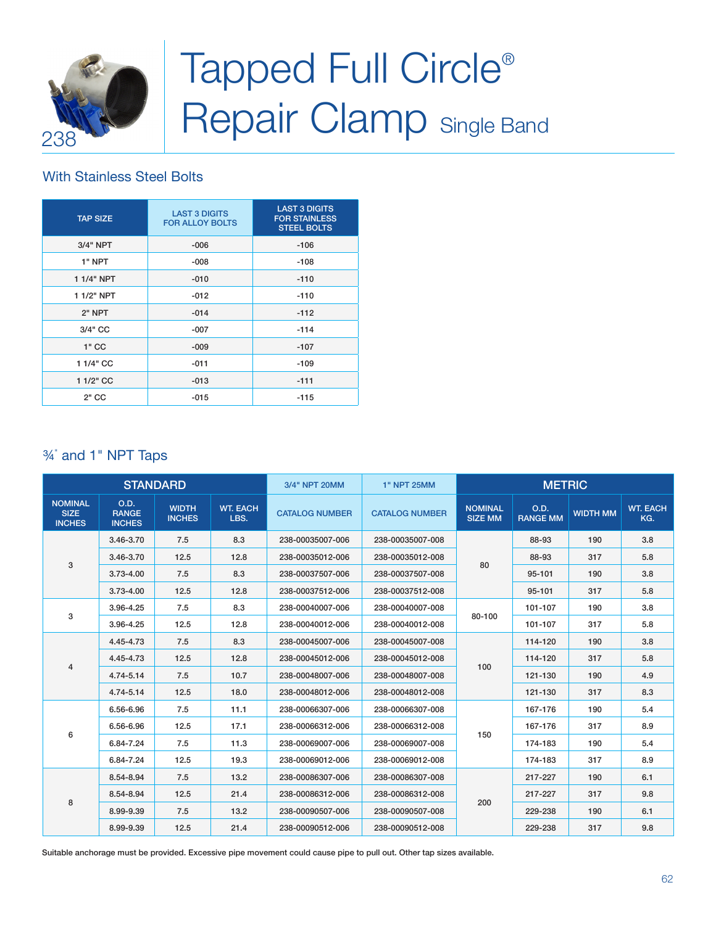

# Tapped Full Circle<sup>®</sup> Repair Clamp Single Band

### With Stainless Steel Bolts

| <b>TAP SIZE</b> | <b>LAST 3 DIGITS</b><br><b>FOR ALLOY BOLTS</b> | <b>LAST 3 DIGITS</b><br><b>FOR STAINLESS</b><br><b>STEEL BOLTS</b> |  |  |  |  |
|-----------------|------------------------------------------------|--------------------------------------------------------------------|--|--|--|--|
| 3/4" NPT        | $-006$                                         | $-106$                                                             |  |  |  |  |
| 1" NPT          | $-008$                                         | $-108$                                                             |  |  |  |  |
| 1 1/4" NPT      | $-010$                                         | $-110$                                                             |  |  |  |  |
| 1 1/2" NPT      | $-012$                                         | $-110$                                                             |  |  |  |  |
| 2" NPT          | $-014$                                         | $-112$                                                             |  |  |  |  |
| 3/4" CC         | $-007$                                         | $-114$                                                             |  |  |  |  |
| $1"$ CC         | $-009$                                         | $-107$                                                             |  |  |  |  |
| 1 1/4" CC       | $-011$                                         | $-109$                                                             |  |  |  |  |
| 1 1/2" CC       | $-013$                                         | $-111$                                                             |  |  |  |  |
| $2"$ CC         | $-015$                                         | $-115$                                                             |  |  |  |  |

## ¾" and 1" NPT Taps

| <b>STANDARD</b>                                |                                       |                               | 3/4" NPT 20MM           | <b>1" NPT 25MM</b>    | <b>METRIC</b>         |                                  |                         |                 |                        |
|------------------------------------------------|---------------------------------------|-------------------------------|-------------------------|-----------------------|-----------------------|----------------------------------|-------------------------|-----------------|------------------------|
| <b>NOMINAL</b><br><b>SIZE</b><br><b>INCHES</b> | O.D.<br><b>RANGE</b><br><b>INCHES</b> | <b>WIDTH</b><br><b>INCHES</b> | <b>WT. EACH</b><br>LBS. | <b>CATALOG NUMBER</b> | <b>CATALOG NUMBER</b> | <b>NOMINAL</b><br><b>SIZE MM</b> | O.D.<br><b>RANGE MM</b> | <b>WIDTH MM</b> | <b>WT. EACH</b><br>KG. |
| 3                                              | 3.46-3.70                             | 7.5                           | 8.3                     | 238-00035007-006      | 238-00035007-008      |                                  | 88-93                   | 190             | 3.8                    |
|                                                | 3.46-3.70                             | 12.5                          | 12.8                    | 238-00035012-006      | 238-00035012-008      | 80                               | 88-93                   | 317             | 5.8                    |
|                                                | $3.73 - 4.00$                         | 7.5                           | 8.3                     | 238-00037507-006      | 238-00037507-008      |                                  | 95-101                  | 190             | 3.8                    |
|                                                | $3.73 - 4.00$                         | 12.5                          | 12.8                    | 238-00037512-006      | 238-00037512-008      |                                  | 95-101                  | 317             | 5.8                    |
|                                                | 3.96-4.25                             | 7.5                           | 8.3                     | 238-00040007-006      | 238-00040007-008      |                                  | 101-107                 | 190             | 3.8                    |
| 3                                              | 3.96-4.25                             | 12.5                          | 12.8                    | 238-00040012-006      | 238-00040012-008      | 80-100                           | 101-107                 | 317             | 5.8                    |
| $\overline{4}$                                 | 4.45-4.73                             | 7.5                           | 8.3                     | 238-00045007-006      | 238-00045007-008      |                                  | 114-120                 | 190             | 3.8                    |
|                                                | 4.45-4.73                             | 12.5                          | 12.8                    | 238-00045012-006      | 238-00045012-008      |                                  | 114-120                 | 317             | 5.8                    |
|                                                | 4.74-5.14                             | 7.5                           | 10.7                    | 238-00048007-006      | 238-00048007-008      | 100                              | 121-130                 | 190             | 4.9                    |
|                                                | 4.74-5.14                             | 12.5                          | 18.0                    | 238-00048012-006      | 238-00048012-008      |                                  | 121-130                 | 317             | 8.3                    |
|                                                | 6.56-6.96                             | 7.5                           | 11.1                    | 238-00066307-006      | 238-00066307-008      |                                  | 167-176                 | 190             | 5.4                    |
|                                                | 6.56-6.96                             | 12.5                          | 17.1                    | 238-00066312-006      | 238-00066312-008      |                                  | 167-176                 | 317             | 8.9                    |
| 6                                              | 6.84-7.24                             | 7.5                           | 11.3                    | 238-00069007-006      | 238-00069007-008      | 150                              | 174-183                 | 190             | 5.4                    |
|                                                | 6.84-7.24                             | 12.5                          | 19.3                    | 238-00069012-006      | 238-00069012-008      |                                  | 174-183                 | 317             | 8.9                    |
|                                                | 8.54-8.94                             | 7.5                           | 13.2                    | 238-00086307-006      | 238-00086307-008      |                                  | 217-227                 | 190             | 6.1                    |
|                                                | 8.54-8.94                             | 12.5                          | 21.4                    | 238-00086312-006      | 238-00086312-008      |                                  | 217-227                 | 317             | 9.8                    |
| 8                                              | 8.99-9.39                             | 7.5                           | 13.2                    | 238-00090507-006      | 238-00090507-008      | 200                              | 229-238                 | 190             | 6.1                    |
|                                                | 8.99-9.39                             | 12.5                          | 21.4                    | 238-00090512-006      | 238-00090512-008      |                                  | 229-238                 | 317             | 9.8                    |

Suitable anchorage must be provided. Excessive pipe movement could cause pipe to pull out. Other tap sizes available.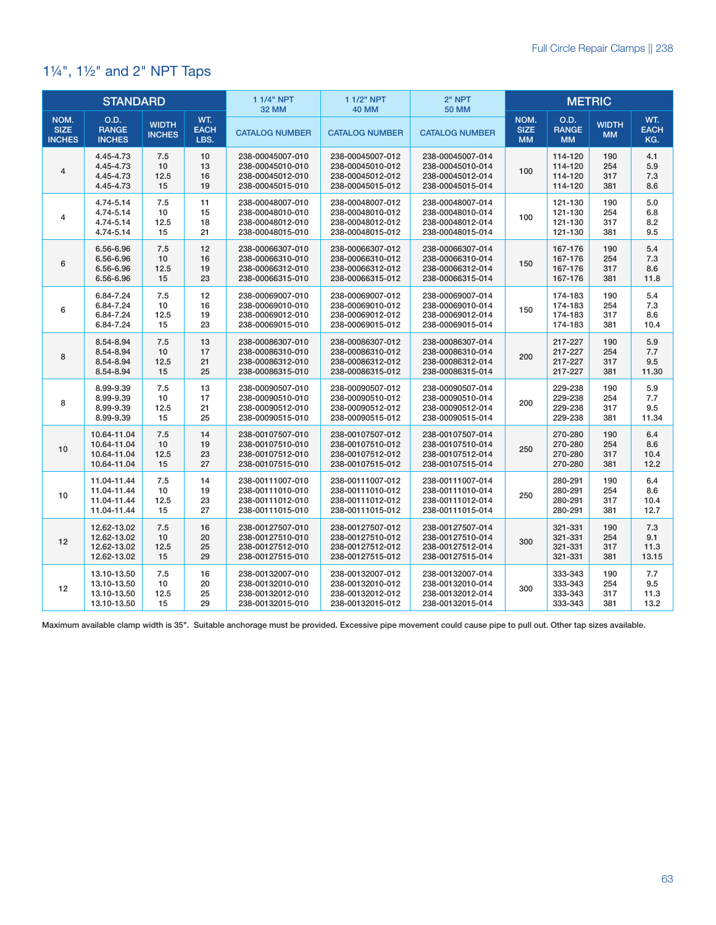## 1¼", 1½" and 2" NPT Taps

| <b>STANDARD</b>                      |                                                          |                               |                            | 1 1/4" NPT<br><b>32 MM</b>                                                   | 1 1/2" NPT<br><b>40 MM</b>                                                   | 2" NPT<br><b>50 MM</b>                                                       | <b>METRIC</b>                    |                                          |                           |                             |
|--------------------------------------|----------------------------------------------------------|-------------------------------|----------------------------|------------------------------------------------------------------------------|------------------------------------------------------------------------------|------------------------------------------------------------------------------|----------------------------------|------------------------------------------|---------------------------|-----------------------------|
| NOM.<br><b>SIZE</b><br><b>INCHES</b> | O.D.<br><b>RANGE</b><br><b>INCHES</b>                    | <b>WIDTH</b><br><b>INCHES</b> | WT.<br><b>EACH</b><br>LBS. | <b>CATALOG NUMBER</b>                                                        | <b>CATALOG NUMBER</b>                                                        | <b>CATALOG NUMBER</b>                                                        | NOM.<br><b>SIZE</b><br><b>MM</b> | O.D.<br><b>RANGE</b><br><b>MM</b>        | <b>WIDTH</b><br><b>MM</b> | WT.<br><b>EACH</b><br>KG.   |
| 4                                    | 4.45-4.73<br>4.45-4.73<br>4.45-4.73<br>4.45-4.73         | 7.5<br>10<br>12.5<br>15       | 10<br>13<br>16<br>19       | 238-00045007-010<br>238-00045010-010<br>238-00045012-010<br>238-00045015-010 | 238-00045007-012<br>238-00045010-012<br>238-00045012-012<br>238-00045015-012 | 238-00045007-014<br>238-00045010-014<br>238-00045012-014<br>238-00045015-014 | 100                              | 114-120<br>114-120<br>114-120<br>114-120 | 190<br>254<br>317<br>381  | 4.1<br>5.9<br>7.3<br>8.6    |
| 4                                    | 4.74-5.14<br>4.74-5.14<br>4.74-5.14<br>4.74-5.14         | 7.5<br>10<br>12.5<br>15       | 11<br>15<br>18<br>21       | 238-00048007-010<br>238-00048010-010<br>238-00048012-010<br>238-00048015-010 | 238-00048007-012<br>238-00048010-012<br>238-00048012-012<br>238-00048015-012 | 238-00048007-014<br>238-00048010-014<br>238-00048012-014<br>238-00048015-014 | 100                              | 121-130<br>121-130<br>121-130<br>121-130 | 190<br>254<br>317<br>381  | 5.0<br>6.8<br>8.2<br>9.5    |
| 6                                    | 6.56-6.96<br>6.56-6.96<br>6.56-6.96<br>6.56-6.96         | 7.5<br>10<br>12.5<br>15       | 12<br>16<br>19<br>23       | 238-00066307-010<br>238-00066310-010<br>238-00066312-010<br>238-00066315-010 | 238-00066307-012<br>238-00066310-012<br>238-00066312-012<br>238-00066315-012 | 238-00066307-014<br>238-00066310-014<br>238-00066312-014<br>238-00066315-014 | 150                              | 167-176<br>167-176<br>167-176<br>167-176 | 190<br>254<br>317<br>381  | 5.4<br>7.3<br>8.6<br>11.8   |
| 6                                    | 6.84-7.24<br>6.84-7.24<br>6.84-7.24<br>6.84-7.24         | 7.5<br>10<br>12.5<br>15       | 12<br>16<br>19<br>23       | 238-00069007-010<br>238-00069010-010<br>238-00069012-010<br>238-00069015-010 | 238-00069007-012<br>238-00069010-012<br>238-00069012-012<br>238-00069015-012 | 238-00069007-014<br>238-00069010-014<br>238-00069012-014<br>238-00069015-014 | 150                              | 174-183<br>174-183<br>174-183<br>174-183 | 190<br>254<br>317<br>381  | 5.4<br>7.3<br>8.6<br>10.4   |
| 8                                    | 8.54-8.94<br>8.54-8.94<br>8.54-8.94<br>8.54-8.94         | 7.5<br>10<br>12.5<br>15       | 13<br>17<br>21<br>25       | 238-00086307-010<br>238-00086310-010<br>238-00086312-010<br>238-00086315-010 | 238-00086307-012<br>238-00086310-012<br>238-00086312-012<br>238-00086315-012 | 238-00086307-014<br>238-00086310-014<br>238-00086312-014<br>238-00086315-014 | 200                              | 217-227<br>217-227<br>217-227<br>217-227 | 190<br>254<br>317<br>381  | 5.9<br>7.7<br>9.5<br>11.30  |
| 8                                    | 8.99-9.39<br>8.99-9.39<br>8.99-9.39<br>8.99-9.39         | 7.5<br>10<br>12.5<br>15       | 13<br>17<br>21<br>25       | 238-00090507-010<br>238-00090510-010<br>238-00090512-010<br>238-00090515-010 | 238-00090507-012<br>238-00090510-012<br>238-00090512-012<br>238-00090515-012 | 238-00090507-014<br>238-00090510-014<br>238-00090512-014<br>238-00090515-014 | 200                              | 229-238<br>229-238<br>229-238<br>229-238 | 190<br>254<br>317<br>381  | 5.9<br>7.7<br>9.5<br>11.34  |
| 10                                   | 10.64-11.04<br>10.64-11.04<br>10.64-11.04<br>10.64-11.04 | 7.5<br>10<br>12.5<br>15       | 14<br>19<br>23<br>27       | 238-00107507-010<br>238-00107510-010<br>238-00107512-010<br>238-00107515-010 | 238-00107507-012<br>238-00107510-012<br>238-00107512-012<br>238-00107515-012 | 238-00107507-014<br>238-00107510-014<br>238-00107512-014<br>238-00107515-014 | 250                              | 270-280<br>270-280<br>270-280<br>270-280 | 190<br>254<br>317<br>381  | 6.4<br>8.6<br>10.4<br>12.2  |
| 10                                   | 11.04-11.44<br>11.04-11.44<br>11.04-11.44<br>11.04-11.44 | 7.5<br>10<br>12.5<br>15       | 14<br>19<br>23<br>27       | 238-00111007-010<br>238-00111010-010<br>238-00111012-010<br>238-00111015-010 | 238-00111007-012<br>238-00111010-012<br>238-00111012-012<br>238-00111015-012 | 238-00111007-014<br>238-00111010-014<br>238-00111012-014<br>238-00111015-014 | 250                              | 280-291<br>280-291<br>280-291<br>280-291 | 190<br>254<br>317<br>381  | 6.4<br>8.6<br>10.4<br>12.7  |
| 12                                   | 12.62-13.02<br>12.62-13.02<br>12.62-13.02<br>12.62-13.02 | 7.5<br>10<br>12.5<br>15       | 16<br>20<br>25<br>29       | 238-00127507-010<br>238-00127510-010<br>238-00127512-010<br>238-00127515-010 | 238-00127507-012<br>238-00127510-012<br>238-00127512-012<br>238-00127515-012 | 238-00127507-014<br>238-00127510-014<br>238-00127512-014<br>238-00127515-014 | 300                              | 321-331<br>321-331<br>321-331<br>321-331 | 190<br>254<br>317<br>381  | 7.3<br>9.1<br>11.3<br>13.15 |
| 12                                   | 13.10-13.50<br>13.10-13.50<br>13.10-13.50<br>13.10-13.50 | 7.5<br>10<br>12.5<br>15       | 16<br>20<br>25<br>29       | 238-00132007-010<br>238-00132010-010<br>238-00132012-010<br>238-00132015-010 | 238-00132007-012<br>238-00132010-012<br>238-00132012-012<br>238-00132015-012 | 238-00132007-014<br>238-00132010-014<br>238-00132012-014<br>238-00132015-014 | 300                              | 333-343<br>333-343<br>333-343<br>333-343 | 190<br>254<br>317<br>381  | 7.7<br>9.5<br>11.3<br>13.2  |

Maximum available clamp width is 35". Suitable anchorage must be provided. Excessive pipe movement could cause pipe to pull out. Other tap sizes available.